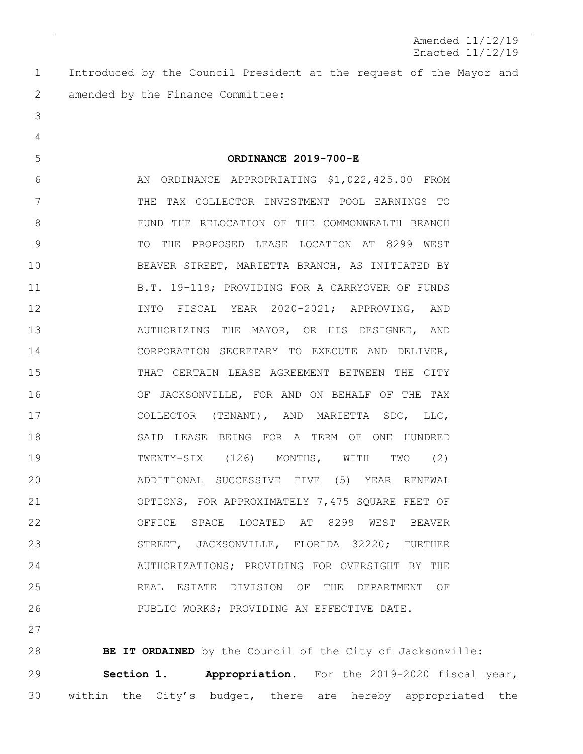Amended 11/12/19 Enacted 11/12/19

 Introduced by the Council President at the request of the Mayor and 2 | amended by the Finance Committee:

**ORDINANCE 2019-700-E**

 AN ORDINANCE APPROPRIATING \$1,022,425.00 FROM THE TAX COLLECTOR INVESTMENT POOL EARNINGS TO 8 | FUND THE RELOCATION OF THE COMMONWEALTH BRANCH TO THE PROPOSED LEASE LOCATION AT 8299 WEST BEAVER STREET, MARIETTA BRANCH, AS INITIATED BY B.T. 19-119; PROVIDING FOR A CARRYOVER OF FUNDS INTO FISCAL YEAR 2020-2021; APPROVING, AND 13 | AUTHORIZING THE MAYOR, OR HIS DESIGNEE, AND CORPORATION SECRETARY TO EXECUTE AND DELIVER, THAT CERTAIN LEASE AGREEMENT BETWEEN THE CITY 16 OF JACKSONVILLE, FOR AND ON BEHALF OF THE TAX COLLECTOR (TENANT), AND MARIETTA SDC, LLC, 18 SAID LEASE BEING FOR A TERM OF ONE HUNDRED TWENTY-SIX (126) MONTHS, WITH TWO (2) ADDITIONAL SUCCESSIVE FIVE (5) YEAR RENEWAL 21 | OPTIONS, FOR APPROXIMATELY 7,475 SQUARE FEET OF OFFICE SPACE LOCATED AT 8299 WEST BEAVER 23 STREET, JACKSONVILLE, FLORIDA 32220; FURTHER 24 | AUTHORIZATIONS; PROVIDING FOR OVERSIGHT BY THE REAL ESTATE DIVISION OF THE DEPARTMENT OF 26 | PUBLIC WORKS; PROVIDING AN EFFECTIVE DATE.

**BE IT ORDAINED** by the Council of the City of Jacksonville: **Section 1. Appropriation.** For the 2019-2020 fiscal year, 30 | within the City's budget, there are hereby appropriated the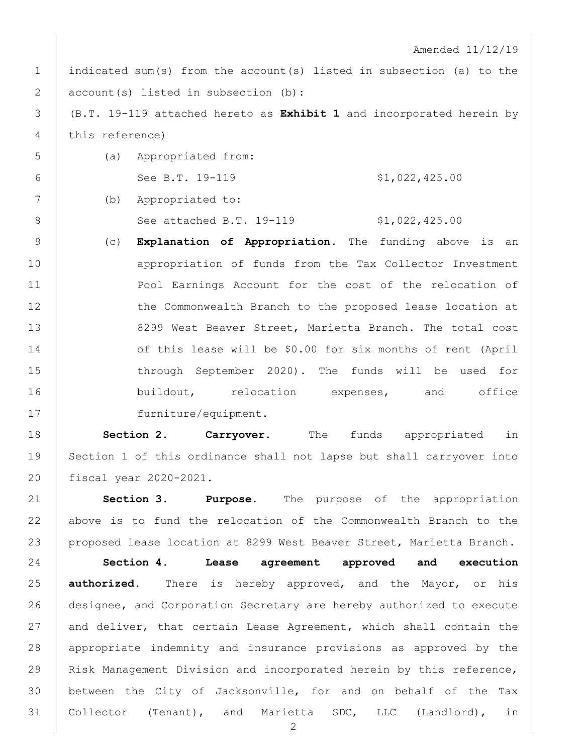Amended 11/12/19

1 | indicated sum(s) from the account(s) listed in subsection (a) to the 2 account(s) listed in subsection (b):

3 (B.T. 19-119 attached hereto as **Exhibit 1** and incorporated herein by 4 this reference)

5 (a) Appropriated from: 6 See B.T. 19-119  $$1,022,425.00$ 

7 (b) Appropriated to: 8 | See attached B.T. 19-119 \$1,022,425.00

9 (c) **Explanation of Appropriation.** The funding above is an 10 **appropriation of funds from the Tax Collector Investment** 11 | Pool Earnings Account for the cost of the relocation of 12 | the Commonwealth Branch to the proposed lease location at 13 8299 West Beaver Street, Marietta Branch. The total cost 14 of this lease will be \$0.00 for six months of rent (April 15 through September 2020). The funds will be used for 16 buildout, relocation expenses, and office 17 furniture/equipment.

18 **Section 2. Carryover.** The funds appropriated in 19 Section 1 of this ordinance shall not lapse but shall carryover into 20 fiscal year 2020-2021.

21 **Section 3**. **Purpose.** The purpose of the appropriation 22 above is to fund the relocation of the Commonwealth Branch to the 23 proposed lease location at 8299 West Beaver Street, Marietta Branch.

 **Section 4. Lease agreement approved and execution authorized.** There is hereby approved, and the Mayor, or his designee, and Corporation Secretary are hereby authorized to execute 27 and deliver, that certain Lease Agreement, which shall contain the appropriate indemnity and insurance provisions as approved by the Risk Management Division and incorporated herein by this reference, between the City of Jacksonville, for and on behalf of the Tax Collector (Tenant), and Marietta SDC, LLC (Landlord), in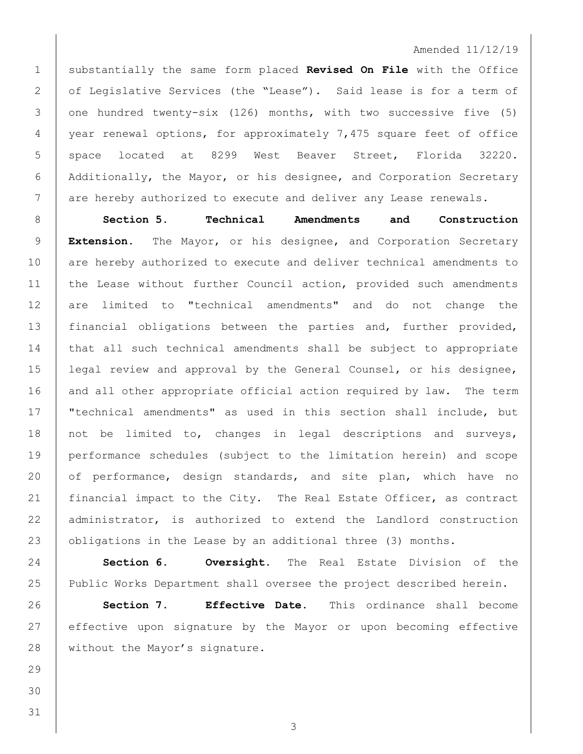## Amended 11/12/19

1 substantially the same form placed **Revised On File** with the Office 2 of Legislative Services (the "Lease"). Said lease is for a term of 3 one hundred twenty-six (126) months, with two successive five (5) 4 year renewal options, for approximately 7,475 square feet of office 5 | space located at 8299 West Beaver Street, Florida 32220. 6 Additionally, the Mayor, or his designee, and Corporation Secretary 7 are hereby authorized to execute and deliver any Lease renewals.

8 **Section 5. Technical Amendments and Construction**  9 **Extension.** The Mayor, or his designee, and Corporation Secretary 10 are hereby authorized to execute and deliver technical amendments to 11 the Lease without further Council action, provided such amendments 12 are limited to "technical amendments" and do not change the 13 financial obligations between the parties and, further provided, 14 | that all such technical amendments shall be subject to appropriate 15 legal review and approval by the General Counsel, or his designee, 16 and all other appropriate official action required by law. The term 17 "technical amendments" as used in this section shall include, but 18 not be limited to, changes in legal descriptions and surveys, 19 performance schedules (subject to the limitation herein) and scope 20 of performance, design standards, and site plan, which have no 21 | financial impact to the City. The Real Estate Officer, as contract 22 administrator, is authorized to extend the Landlord construction 23 | obligations in the Lease by an additional three (3) months.

24 **Section 6. Oversight.** The Real Estate Division of the 25 Public Works Department shall oversee the project described herein.

26 **Section 7. Effective Date.** This ordinance shall become 27 effective upon signature by the Mayor or upon becoming effective 28 | without the Mayor's signature.

29 30 31

3